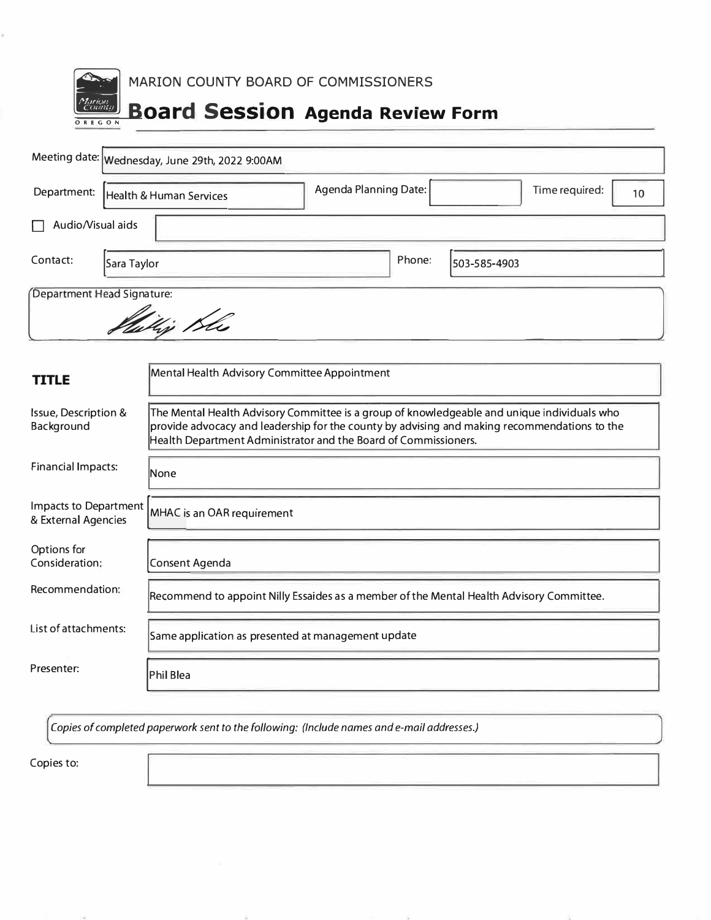| MARION COUNTY BOARD OF COMMISSIONERS<br>arion<br>"ounty<br><b>Board Session Agenda Review Form</b><br>OREGON |                                                                                                                                                                                                                                                                |  |  |  |  |  |  |  |  |
|--------------------------------------------------------------------------------------------------------------|----------------------------------------------------------------------------------------------------------------------------------------------------------------------------------------------------------------------------------------------------------------|--|--|--|--|--|--|--|--|
| Meeting date: Wednesday, June 29th, 2022 9:00AM                                                              |                                                                                                                                                                                                                                                                |  |  |  |  |  |  |  |  |
| Department:                                                                                                  | Agenda Planning Date:<br>Time required:<br>10<br>Health & Human Services                                                                                                                                                                                       |  |  |  |  |  |  |  |  |
| Audio/Visual aids                                                                                            |                                                                                                                                                                                                                                                                |  |  |  |  |  |  |  |  |
| Contact:<br>Sara Taylor                                                                                      | Phone:<br>503-585-4903                                                                                                                                                                                                                                         |  |  |  |  |  |  |  |  |
| Department Head Signature:<br>Viligi Kli                                                                     |                                                                                                                                                                                                                                                                |  |  |  |  |  |  |  |  |
|                                                                                                              |                                                                                                                                                                                                                                                                |  |  |  |  |  |  |  |  |
| <b>TITLE</b>                                                                                                 | Mental Health Advisory Committee Appointment                                                                                                                                                                                                                   |  |  |  |  |  |  |  |  |
| Issue, Description &<br>Background                                                                           | The Mental Health Advisory Committee is a group of knowledgeable and unique individuals who<br>provide advocacy and leadership for the county by advising and making recommendations to the<br>Health Department Administrator and the Board of Commissioners. |  |  |  |  |  |  |  |  |
| <b>Financial Impacts:</b>                                                                                    | <b>None</b>                                                                                                                                                                                                                                                    |  |  |  |  |  |  |  |  |
| Impacts to Department<br>& External Agencies                                                                 | MHAC is an OAR requirement                                                                                                                                                                                                                                     |  |  |  |  |  |  |  |  |
| Options for<br>Consideration;                                                                                | Consent Agenda                                                                                                                                                                                                                                                 |  |  |  |  |  |  |  |  |
| Recommendation:                                                                                              | Recommend to appoint Nilly Essaides as a member of the Mental Health Advisory Committee.                                                                                                                                                                       |  |  |  |  |  |  |  |  |
| List of attachments:                                                                                         | Same application as presented at management update                                                                                                                                                                                                             |  |  |  |  |  |  |  |  |
| Presenter:                                                                                                   | <b>Phil Blea</b>                                                                                                                                                                                                                                               |  |  |  |  |  |  |  |  |

Copies of completed paperwork sent to the following: (Include names and e-mail addresses.)

Copies to:

¥.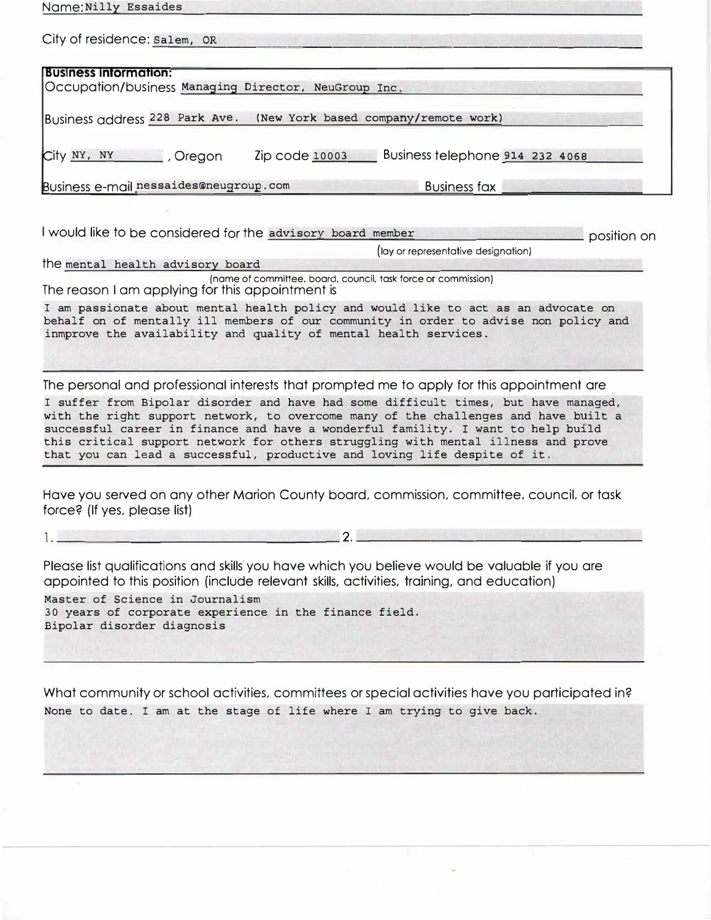| Name: Nilly Essaides                                                                  |                |                                 |  |  |  |  |  |
|---------------------------------------------------------------------------------------|----------------|---------------------------------|--|--|--|--|--|
| City of residence: Salem, OR                                                          |                |                                 |  |  |  |  |  |
| <b>Business information:</b><br> Occupation/business Managing Director, NeuGroup Inc. |                |                                 |  |  |  |  |  |
| Business address 228 Park Ave. (New York based company/remote work)                   |                |                                 |  |  |  |  |  |
| City NY, NY Cregon                                                                    | Zip code 10003 | Business telephone 914 232 4068 |  |  |  |  |  |
| Business e-mail nessaides@neugroup.com                                                |                | <b>Business fax</b>             |  |  |  |  |  |

I would like to be considered for the advisory board member **provided** position on

(lay or representative designation)

the mental health advisory board (name of committee, board, council, task force or commission) The reason I am applying for this appointment is

**I** am passionate about mental health policy and would like to act as an advocate on behalf on of mentally ill members of our community in order to advise non policy and inmprove the availability and quality of mental health services.

The personal and professional interests that prompted me to apply for this appointment are

**I suffer from Bipolar disorder and have had some** difficult **times, but have managed, with the right support network, to overcome many** of **the challenges and have built a successful career** in **finance and have a wonderful famility.** I **want to help bufld this critical support network for others struggling with mental illness and prove that you can lead a successful, productive and loving life despite of it.** 

Have you served on any other Marion County board, commission, committee, council, or task force? (If yes, please list)

1. \_\_\_\_\_\_\_\_\_\_\_\_\_\_\_\_\_\_\_ 2. \_\_\_\_\_\_\_\_\_\_\_\_\_\_\_\_\_\_ \_

Please list qualifications and skills you have which you believe would be valuable if you are appointed to this position (include relevant skills, activities, training, and education)

Master of Science in Journalism 30 years of corporate experience in the finance field. Bipolar disorder diagnosis

What community or school activities, committees or special activities have you participated in? None to date. I am at the stage of life where I am trying to give back.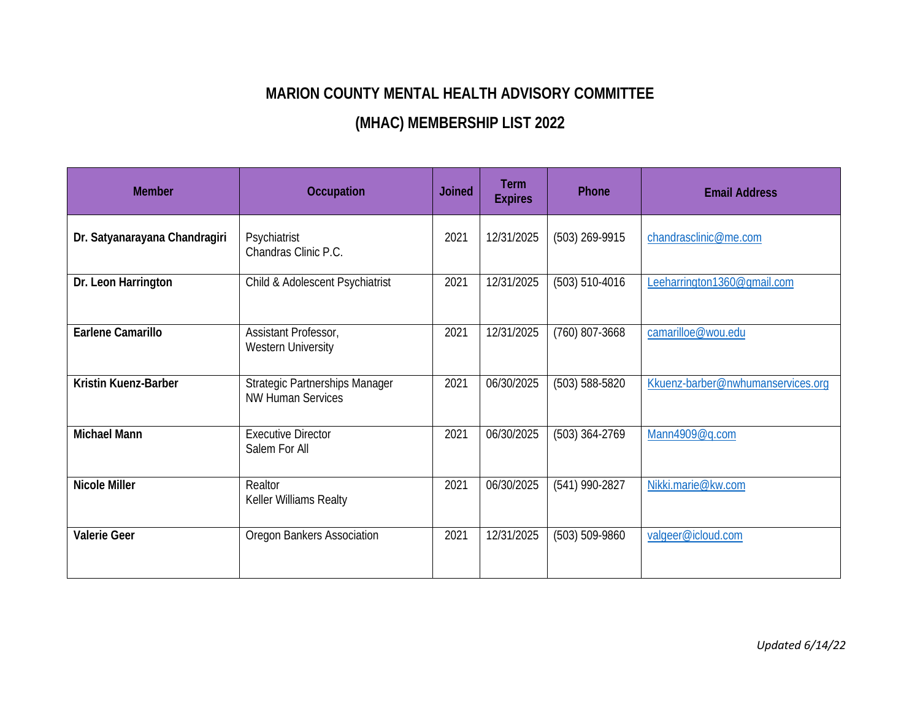## **MARION COUNTY MENTAL HEALTH ADVISORY COMMITTEE**

## **(MHAC) MEMBERSHIP LIST 202**2

| <b>Member</b>                 | <b>Occupation</b>                                                 | <b>Joined</b> | <b>Term</b><br><b>Expires</b> | Phone            | <b>Email Address</b>              |
|-------------------------------|-------------------------------------------------------------------|---------------|-------------------------------|------------------|-----------------------------------|
| Dr. Satyanarayana Chandragiri | Psychiatrist<br>Chandras Clinic P.C.                              | 2021          | 12/31/2025                    | (503) 269-9915   | chandrasclinic@me.com             |
| Dr. Leon Harrington           | Child & Adolescent Psychiatrist                                   | 2021          | 12/31/2025                    | (503) 510-4016   | Leeharrington1360@gmail.com       |
| <b>Earlene Camarillo</b>      | Assistant Professor,<br><b>Western University</b>                 | 2021          | 12/31/2025                    | $(760)$ 807-3668 | camarilloe@wou.edu                |
| Kristin Kuenz-Barber          | <b>Strategic Partnerships Manager</b><br><b>NW Human Services</b> | 2021          | 06/30/2025                    | (503) 588-5820   | Kkuenz-barber@nwhumanservices.org |
| <b>Michael Mann</b>           | <b>Executive Director</b><br>Salem For All                        | 2021          | 06/30/2025                    | $(503)$ 364-2769 | Mann4909@q.com                    |
| <b>Nicole Miller</b>          | Realtor<br>Keller Williams Realty                                 | 2021          | 06/30/2025                    | (541) 990-2827   | Nikki.marie@kw.com                |
| <b>Valerie Geer</b>           | Oregon Bankers Association                                        | 2021          | 12/31/2025                    | (503) 509-9860   | valgeer@icloud.com                |